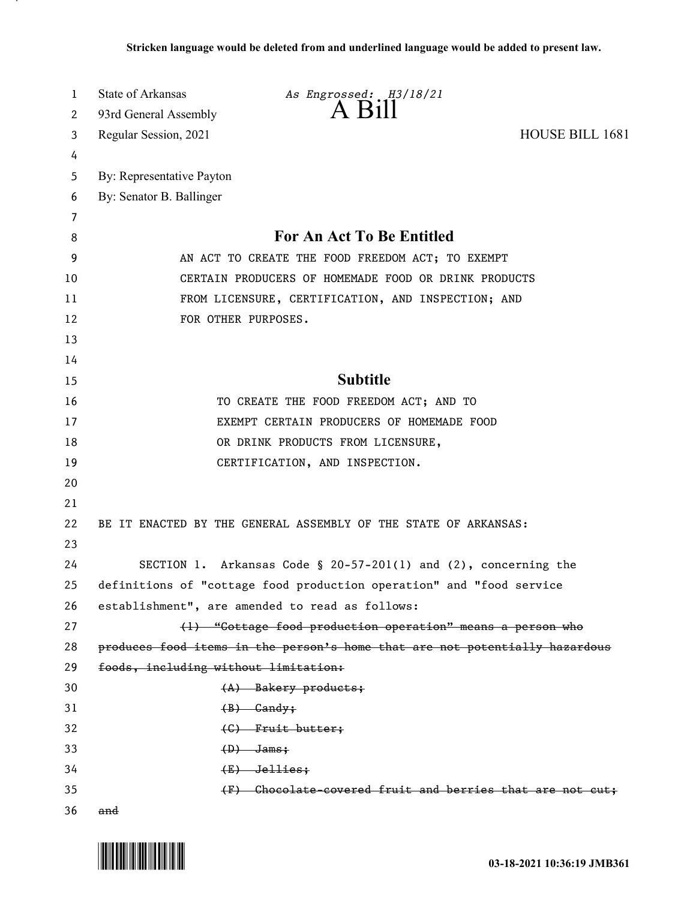| 1  | State of Arkansas                    | As Engrossed: H3/18/21                                                      |                 |
|----|--------------------------------------|-----------------------------------------------------------------------------|-----------------|
| 2  | 93rd General Assembly                | $A$ Bill                                                                    |                 |
| 3  | Regular Session, 2021                |                                                                             | HOUSE BILL 1681 |
| 4  |                                      |                                                                             |                 |
| 5  | By: Representative Payton            |                                                                             |                 |
| 6  | By: Senator B. Ballinger             |                                                                             |                 |
| 7  |                                      |                                                                             |                 |
| 8  |                                      | For An Act To Be Entitled                                                   |                 |
| 9  |                                      | AN ACT TO CREATE THE FOOD FREEDOM ACT; TO EXEMPT                            |                 |
| 10 |                                      | CERTAIN PRODUCERS OF HOMEMADE FOOD OR DRINK PRODUCTS                        |                 |
| 11 |                                      | FROM LICENSURE, CERTIFICATION, AND INSPECTION; AND                          |                 |
| 12 |                                      | FOR OTHER PURPOSES.                                                         |                 |
| 13 |                                      |                                                                             |                 |
| 14 |                                      |                                                                             |                 |
| 15 |                                      | <b>Subtitle</b>                                                             |                 |
| 16 |                                      | TO CREATE THE FOOD FREEDOM ACT; AND TO                                      |                 |
| 17 |                                      | EXEMPT CERTAIN PRODUCERS OF HOMEMADE FOOD                                   |                 |
| 18 |                                      | OR DRINK PRODUCTS FROM LICENSURE,                                           |                 |
| 19 |                                      | CERTIFICATION, AND INSPECTION.                                              |                 |
| 20 |                                      |                                                                             |                 |
| 21 |                                      |                                                                             |                 |
| 22 |                                      | BE IT ENACTED BY THE GENERAL ASSEMBLY OF THE STATE OF ARKANSAS:             |                 |
| 23 |                                      |                                                                             |                 |
| 24 |                                      | SECTION 1. Arkansas Code § 20-57-201(1) and $(2)$ , concerning the          |                 |
| 25 |                                      | definitions of "cottage food production operation" and "food service        |                 |
| 26 |                                      | establishment", are amended to read as follows:                             |                 |
| 27 |                                      | (1) "Cottage food production operation" means a person who                  |                 |
| 28 |                                      | produces food items in the person's home that are not potentially hazardous |                 |
| 29 | foods, including without limitation: |                                                                             |                 |
| 30 |                                      | $(A)$ Bakery products;                                                      |                 |
| 31 |                                      | $(B)$ Gandy;                                                                |                 |
| 32 |                                      | $(G)$ Fruit butter;                                                         |                 |
| 33 |                                      | $(D)$ Jams;                                                                 |                 |
| 34 |                                      | $(E)$ Jellies;                                                              |                 |
| 35 |                                      | (F) Chocolate covered fruit and berries that are not cut;                   |                 |
| 36 | and                                  |                                                                             |                 |

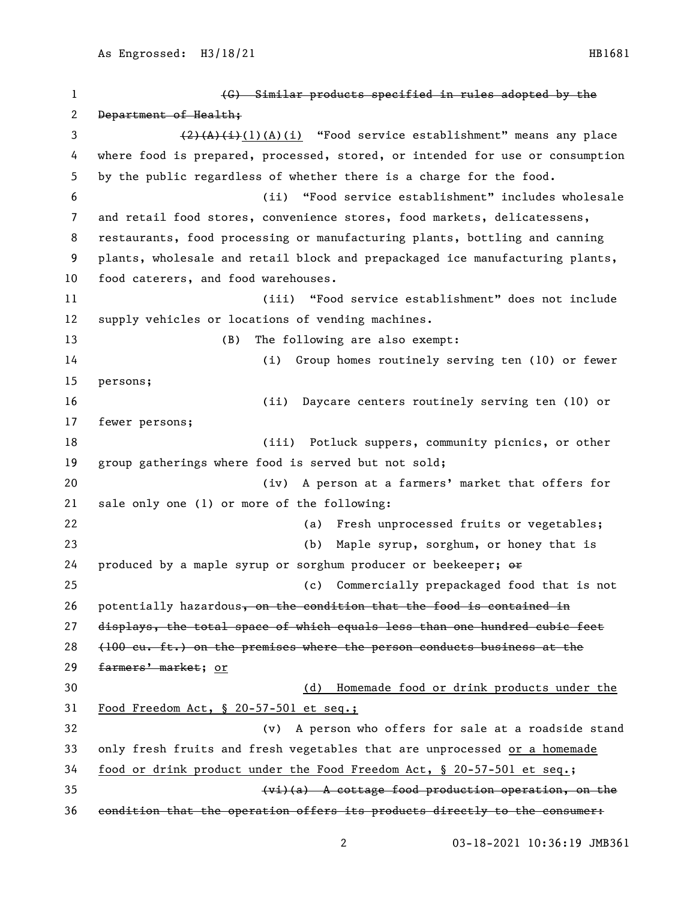(G) Similar products specified in rules adopted by the 2 Department of Health; 3 (2)(A)(i)(A)(i) "Food service establishment" means any place where food is prepared, processed, stored, or intended for use or consumption by the public regardless of whether there is a charge for the food. (ii) "Food service establishment" includes wholesale and retail food stores, convenience stores, food markets, delicatessens, restaurants, food processing or manufacturing plants, bottling and canning plants, wholesale and retail block and prepackaged ice manufacturing plants, food caterers, and food warehouses. (iii) "Food service establishment" does not include supply vehicles or locations of vending machines. (B) The following are also exempt: (i) Group homes routinely serving ten (10) or fewer persons; (ii) Daycare centers routinely serving ten (10) or fewer persons; (iii) Potluck suppers, community picnics, or other group gatherings where food is served but not sold; (iv) A person at a farmers' market that offers for sale only one (1) or more of the following: (a) Fresh unprocessed fruits or vegetables; (b) Maple syrup, sorghum, or honey that is 24 produced by a maple syrup or sorghum producer or beekeeper;  $\Theta$  (c) Commercially prepackaged food that is not 26 potentially hazardous, on the condition that the food is contained in displays, the total space of which equals less than one hundred cubic feet (100 cu. ft.) on the premises where the person conducts business at the 29 farmers' market; or (d) Homemade food or drink products under the Food Freedom Act, § 20-57-501 et seq.; (v) A person who offers for sale at a roadside stand only fresh fruits and fresh vegetables that are unprocessed or a homemade food or drink product under the Food Freedom Act, § 20-57-501 et seq.; (vi)(a) A cottage food production operation, on the condition that the operation offers its products directly to the consumer: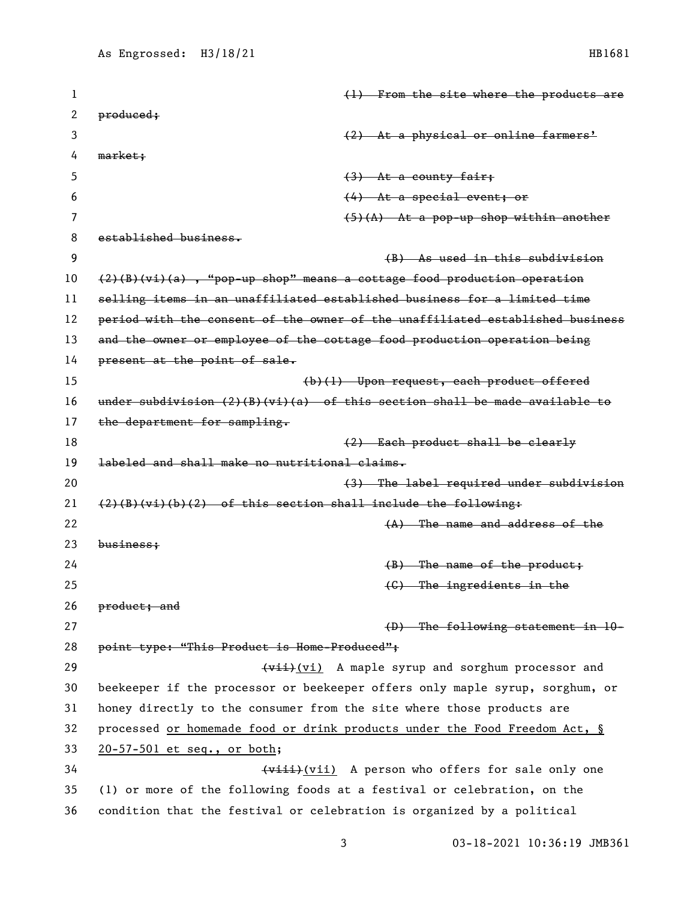| 1  | (1) From the site where the products are                                      |
|----|-------------------------------------------------------------------------------|
| 2  | produced;                                                                     |
| 3  | (2) At a physical or online farmers'                                          |
| 4  | market;                                                                       |
| 5  | $(3)$ At a county fair;                                                       |
| 6  | $(4)$ At a special event; or                                                  |
| 7  | $(5)(A)$ At a pop-up shop within another                                      |
| 8  | established business.                                                         |
| 9  | (B) As used in this subdivision                                               |
| 10 | $(2)(B)(vi)(a)$ , "pop-up shop" means a cottage food production operation     |
| 11 | selling items in an unaffiliated established business for a limited time      |
| 12 | period with the consent of the owner of the unaffiliated established business |
| 13 | and the owner or employee of the cottage food production operation being      |
| 14 | present at the point of sale.                                                 |
| 15 | (b)(1) Upon request, each product offered                                     |
| 16 | under subdivision $(2)(B)(vi)(a)$ of this section shall be made available to  |
| 17 | the department for sampling.                                                  |
| 18 | (2) Each product shall be clearly                                             |
| 19 | labeled and shall make no nutritional claims.                                 |
| 20 | (3) The label required under subdivision                                      |
| 21 | $(2)(B)(vi)(b)(2)$ of this section shall include the following:               |
| 22 | $(A)$ The name and address of the                                             |
| 23 | $busines$                                                                     |
| 24 | $(B)$ The name of the product;                                                |
| 25 | $(0)$ The ingredients in the                                                  |
| 26 | product; and                                                                  |
| 27 | $(D)$ The following statement in $10-$                                        |
| 28 | point type: "This Product is Home-Produced";                                  |
| 29 | (vii) A maple syrup and sorghum processor and                                 |
| 30 | beekeeper if the processor or beekeeper offers only maple syrup, sorghum, or  |
| 31 | honey directly to the consumer from the site where those products are         |
| 32 | processed or homemade food or drink products under the Food Freedom Act, §    |
| 33 | 20-57-501 et seq., or both;                                                   |
| 34 | (viii) A person who offers for sale only one                                  |
| 35 | (1) or more of the following foods at a festival or celebration, on the       |
| 36 | condition that the festival or celebration is organized by a political        |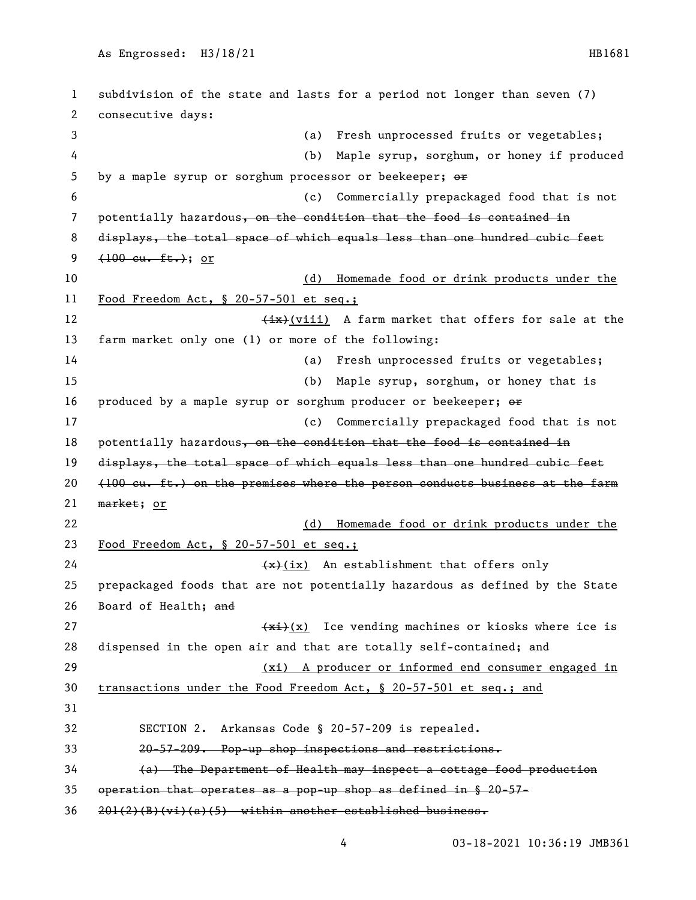subdivision of the state and lasts for a period not longer than seven (7) consecutive days: (a) Fresh unprocessed fruits or vegetables; (b) Maple syrup, sorghum, or honey if produced 5 by a maple syrup or sorghum processor or beekeeper;  $\Theta$  (c) Commercially prepackaged food that is not 7 potentially hazardous, on the condition that the food is contained in displays, the total space of which equals less than one hundred cubic feet  $(100 \text{ cu. ft.})$ ; or (d) Homemade food or drink products under the Food Freedom Act, § 20-57-501 et seq.; 12 (ix)(viii) A farm market that offers for sale at the farm market only one (1) or more of the following: (a) Fresh unprocessed fruits or vegetables; (b) Maple syrup, sorghum, or honey that is 16 produced by a maple syrup or sorghum producer or beekeeper;  $\Theta$  (c) Commercially prepackaged food that is not 18 potentially hazardous, on the condition that the food is contained in displays, the total space of which equals less than one hundred cubic feet  $(100 \text{ eu. ft.})$  on the premises where the person conducts business at the farm market; or (d) Homemade food or drink products under the Food Freedom Act, § 20-57-501 et seq.;  $\left(\frac{1}{x}\right)(ix)$  An establishment that offers only prepackaged foods that are not potentially hazardous as defined by the State Board of Health; and  $\frac{f(x+1)}{x}$  Ice vending machines or kiosks where ice is dispensed in the open air and that are totally self-contained; and (xi) A producer or informed end consumer engaged in transactions under the Food Freedom Act, § 20-57-501 et seq.; and SECTION 2. Arkansas Code § 20-57-209 is repealed. 20-57-209. Pop-up shop inspections and restrictions. (a) The Department of Health may inspect a cottage food production operation that operates as a pop-up shop as defined in § 20-57- 201(2)(B)(vi)(a)(5) within another established business.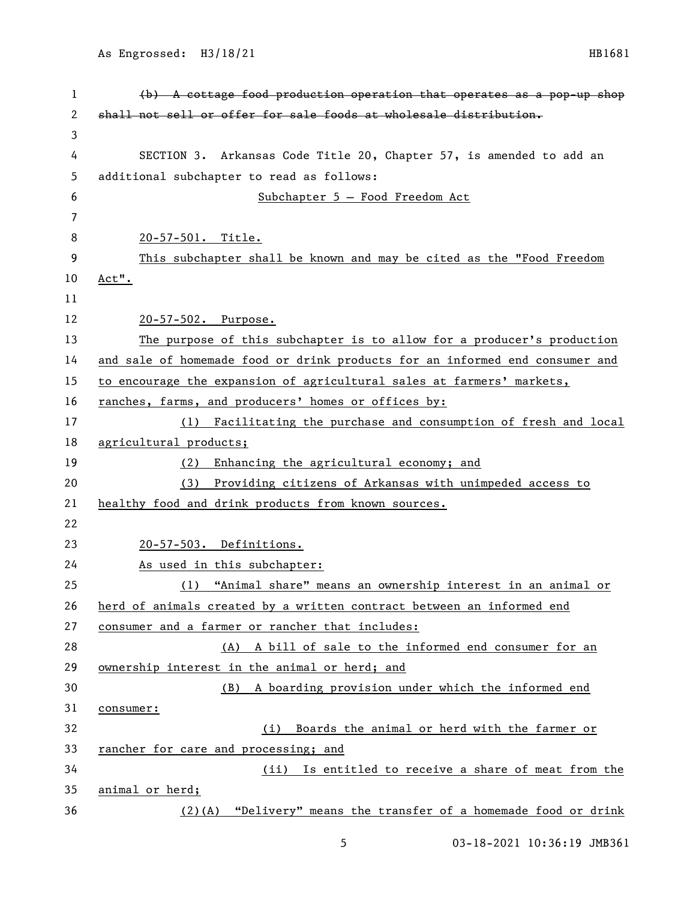| 1  | (b) A cottage food production operation that operates as a pop-up shop       |
|----|------------------------------------------------------------------------------|
| 2  | shall not sell or offer for sale foods at wholesale distribution.            |
| 3  |                                                                              |
| 4  | SECTION 3. Arkansas Code Title 20, Chapter 57, is amended to add an          |
| 5  | additional subchapter to read as follows:                                    |
| 6  | Subchapter 5 - Food Freedom Act                                              |
| 7  |                                                                              |
| 8  | 20-57-501. Title.                                                            |
| 9  | This subchapter shall be known and may be cited as the "Food Freedom         |
| 10 | Act".                                                                        |
| 11 |                                                                              |
| 12 | 20-57-502. Purpose.                                                          |
| 13 | The purpose of this subchapter is to allow for a producer's production       |
| 14 | and sale of homemade food or drink products for an informed end consumer and |
| 15 | to encourage the expansion of agricultural sales at farmers' markets,        |
| 16 | ranches, farms, and producers' homes or offices by:                          |
| 17 | (1) Facilitating the purchase and consumption of fresh and local             |
| 18 | agricultural products;                                                       |
| 19 | Enhancing the agricultural economy; and<br>(2)                               |
| 20 | Providing citizens of Arkansas with unimpeded access to<br>(3)               |
| 21 | healthy food and drink products from known sources.                          |
| 22 |                                                                              |
| 23 | 20-57-503. Definitions.                                                      |
| 24 | As used in this subchapter:                                                  |
| 25 | (1) "Animal share" means an ownership interest in an animal or               |
| 26 | herd of animals created by a written contract between an informed end        |
| 27 | consumer and a farmer or rancher that includes:                              |
| 28 | (A) A bill of sale to the informed end consumer for an                       |
| 29 | ownership interest in the animal or herd; and                                |
| 30 | A boarding provision under which the informed end<br>(B)                     |
| 31 | consumer:                                                                    |
| 32 | (i) Boards the animal or herd with the farmer or                             |
| 33 | rancher for care and processing; and                                         |
| 34 | Is entitled to receive a share of meat from the<br>(ii)                      |
| 35 | animal or herd;                                                              |
| 36 | "Delivery" means the transfer of a homemade food or drink<br>$(2)$ (A)       |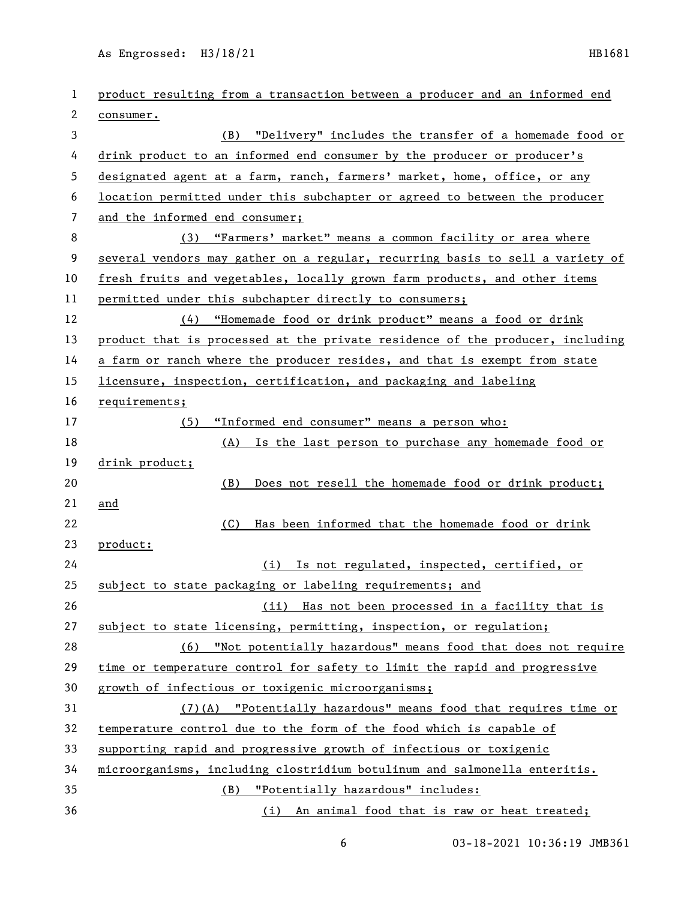As Engrossed: H3/18/21 HB1681

| 1              | product resulting from a transaction between a producer and an informed end   |
|----------------|-------------------------------------------------------------------------------|
| 2              | consumer.                                                                     |
| 3              | (B) "Delivery" includes the transfer of a homemade food or                    |
| 4              | drink product to an informed end consumer by the producer or producer's       |
| 5              | designated agent at a farm, ranch, farmers' market, home, office, or any      |
| 6              | location permitted under this subchapter or agreed to between the producer    |
| $\overline{7}$ | and the informed end consumer;                                                |
| 8              | (3) "Farmers' market" means a common facility or area where                   |
| 9              | several vendors may gather on a regular, recurring basis to sell a variety of |
| 10             | fresh fruits and vegetables, locally grown farm products, and other items     |
| 11             | permitted under this subchapter directly to consumers;                        |
| 12             | (4) "Homemade food or drink product" means a food or drink                    |
| 13             | product that is processed at the private residence of the producer, including |
| 14             | a farm or ranch where the producer resides, and that is exempt from state     |
| 15             | licensure, inspection, certification, and packaging and labeling              |
| 16             | requirements;                                                                 |
| 17             | "Informed end consumer" means a person who:<br>(5)                            |
| 18             | (A) Is the last person to purchase any homemade food or                       |
| 19             | drink product;                                                                |
| 20             | Does not resell the homemade food or drink product;<br>(B)                    |
| 21             | and                                                                           |
| 22             | Has been informed that the homemade food or drink<br>(C)                      |
| 23             | product:                                                                      |
| 24             | (i) Is not regulated, inspected, certified, or                                |
| 25             | subject to state packaging or labeling requirements; and                      |
| 26             | (ii) Has not been processed in a facility that is                             |
| 27             | subject to state licensing, permitting, inspection, or regulation;            |
| 28             | (6) "Not potentially hazardous" means food that does not require              |
| 29             | time or temperature control for safety to limit the rapid and progressive     |
| 30             | growth of infectious or toxigenic microorganisms;                             |
| 31             | (7)(A) "Potentially hazardous" means food that requires time or               |
| 32             | temperature control due to the form of the food which is capable of           |
| 33             | supporting rapid and progressive growth of infectious or toxigenic            |
| 34             | microorganisms, including clostridium botulinum and salmonella enteritis.     |
| 35             | "Potentially hazardous" includes:<br>(B)                                      |
| 36             | (i) An animal food that is raw or heat treated;                               |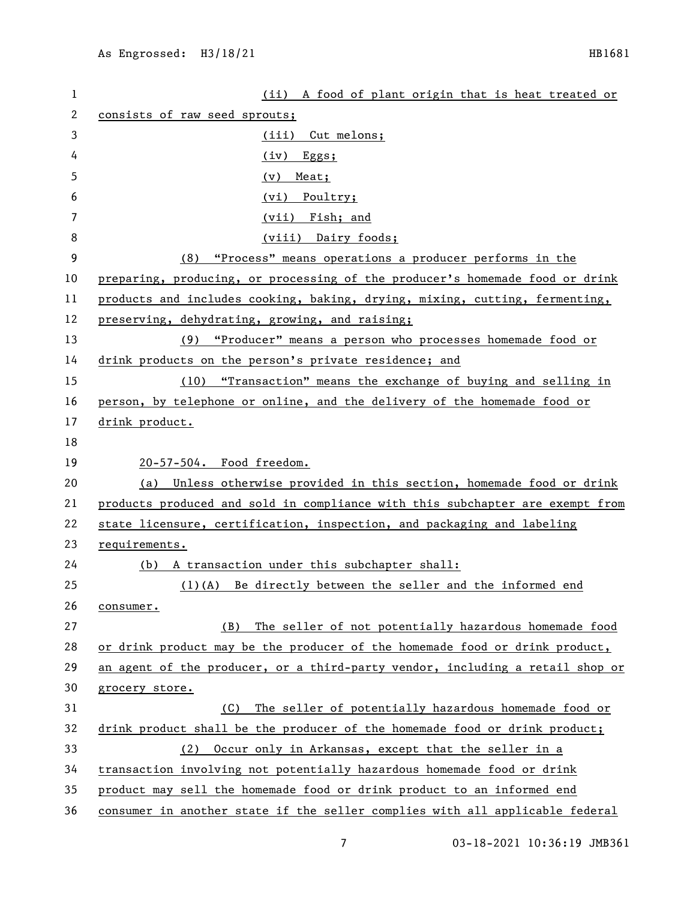| 1        | (ii) A food of plant origin that is heat treated or                           |
|----------|-------------------------------------------------------------------------------|
| 2        | consists of raw seed sprouts;                                                 |
| 3        | (iii) Cut melons;                                                             |
| 4        | (iv)<br>Eggs;                                                                 |
| 5        | Meat;<br>(v)                                                                  |
| 6        | (vi)<br>Poultry;                                                              |
| 7        | (vii) Fish; and                                                               |
| 8        | (viii) Dairy foods;                                                           |
| 9        | (8) "Process" means operations a producer performs in the                     |
| 10       | preparing, producing, or processing of the producer's homemade food or drink  |
| 11       | products and includes cooking, baking, drying, mixing, cutting, fermenting,   |
| 12       | preserving, dehydrating, growing, and raising;                                |
| 13       | "Producer" means a person who processes homemade food or<br>(9)               |
| 14       | drink products on the person's private residence; and                         |
| 15       | "Transaction" means the exchange of buying and selling in<br>(10)             |
| 16       | person, by telephone or online, and the delivery of the homemade food or      |
| 17       | drink product.                                                                |
| 18       |                                                                               |
| 19       | 20-57-504. Food freedom.                                                      |
| 20       | (a) Unless otherwise provided in this section, homemade food or drink         |
| 21       | products produced and sold in compliance with this subchapter are exempt from |
| 22       | state licensure, certification, inspection, and packaging and labeling        |
| 23       | requirements.                                                                 |
| 24       | (b) A transaction under this subchapter shall:                                |
| 25       | (1)(A) Be directly between the seller and the informed end                    |
| 26       | consumer.                                                                     |
| 27       | The seller of not potentially hazardous homemade food<br>(B)                  |
| 28       | or drink product may be the producer of the homemade food or drink product,   |
| 29       |                                                                               |
| 30       | an agent of the producer, or a third-party vendor, including a retail shop or |
|          | grocery store.                                                                |
|          | The seller of potentially hazardous homemade food or<br>(C)                   |
| 31<br>32 | drink product shall be the producer of the homemade food or drink product;    |
| 33       | Occur only in Arkansas, except that the seller in a<br>(2)                    |
| 34       | transaction involving not potentially hazardous homemade food or drink        |
| 35       | product may sell the homemade food or drink product to an informed end        |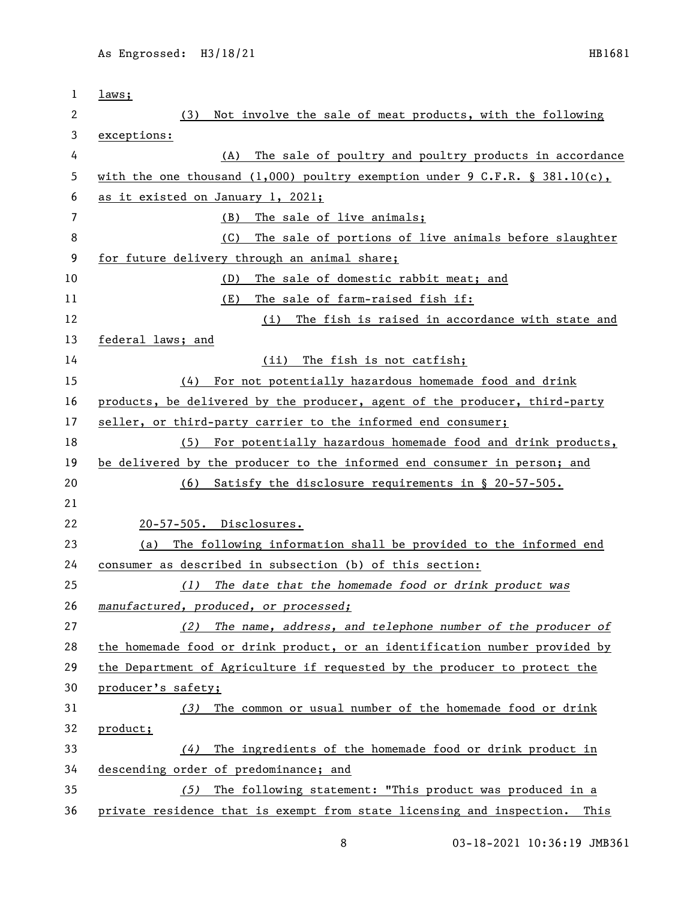| 1  | laws;                                                                       |
|----|-----------------------------------------------------------------------------|
| 2  | Not involve the sale of meat products, with the following<br>(3)            |
| 3  | exceptions:                                                                 |
| 4  | The sale of poultry and poultry products in accordance<br>(A)               |
| 5  | with the one thousand (1,000) poultry exemption under 9 C.F.R. § 381.10(c), |
| 6  | as it existed on January 1, 2021;                                           |
| 7  | The sale of live animals;<br>(B)                                            |
| 8  | The sale of portions of live animals before slaughter<br>(C)                |
| 9  | for future delivery through an animal share;                                |
| 10 | The sale of domestic rabbit meat; and<br>(D)                                |
| 11 | (E)<br>The sale of farm-raised fish if:                                     |
| 12 | The fish is raised in accordance with state and<br>(i)                      |
| 13 | federal laws; and                                                           |
| 14 | The fish is not catfish;<br>(iii)                                           |
| 15 | For not potentially hazardous homemade food and drink<br>(4)                |
| 16 | products, be delivered by the producer, agent of the producer, third-party  |
| 17 | seller, or third-party carrier to the informed end consumer;                |
| 18 | For potentially hazardous homemade food and drink products,<br>(5)          |
| 19 | be delivered by the producer to the informed end consumer in person; and    |
| 20 | Satisfy the disclosure requirements in § 20-57-505.<br>(6)                  |
| 21 |                                                                             |
| 22 | 20-57-505. Disclosures.                                                     |
| 23 | The following information shall be provided to the informed end<br>(a)      |
| 24 | consumer as described in subsection (b) of this section:                    |
| 25 | The date that the homemade food or drink product was<br>(1)                 |
| 26 | manufactured, produced, or processed;                                       |
| 27 | The name, address, and telephone number of the producer of<br>(2)           |
| 28 | the homemade food or drink product, or an identification number provided by |
| 29 | the Department of Agriculture if requested by the producer to protect the   |
| 30 | producer's safety;                                                          |
| 31 | The common or usual number of the homemade food or drink<br>(3)             |
| 32 | product;                                                                    |
| 33 | The ingredients of the homemade food or drink product in<br>(4)             |
| 34 | descending order of predominance; and                                       |
| 35 | The following statement: "This product was produced in a<br>(5)             |
| 36 | private residence that is exempt from state licensing and inspection. This  |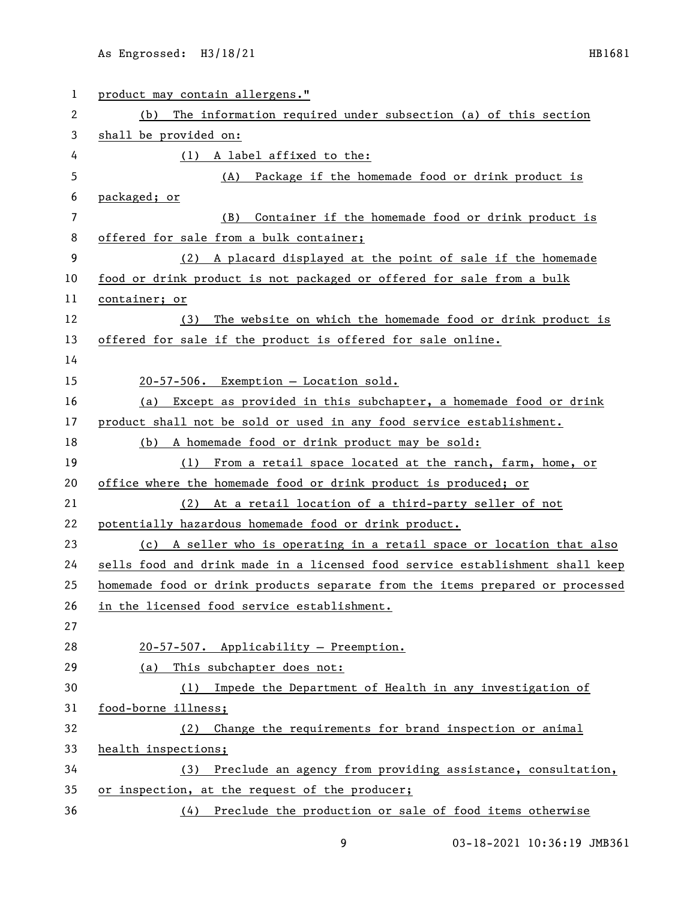| 1  | product may contain allergens."                                               |
|----|-------------------------------------------------------------------------------|
| 2  | The information required under subsection (a) of this section<br>(b)          |
| 3  | shall be provided on:                                                         |
| 4  | (1) A label affixed to the:                                                   |
| 5  | Package if the homemade food or drink product is<br>(A)                       |
| 6  | packaged; or                                                                  |
| 7  | Container if the homemade food or drink product is<br>(B)                     |
| 8  | offered for sale from a bulk container;                                       |
| 9  | (2) A placard displayed at the point of sale if the homemade                  |
| 10 | food or drink product is not packaged or offered for sale from a bulk         |
| 11 | container; or                                                                 |
| 12 | The website on which the homemade food or drink product is<br>(3)             |
| 13 | offered for sale if the product is offered for sale online.                   |
| 14 |                                                                               |
| 15 | 20-57-506. Exemption - Location sold.                                         |
| 16 | Except as provided in this subchapter, a homemade food or drink<br>(a)        |
| 17 | product shall not be sold or used in any food service establishment.          |
| 18 | (b) A homemade food or drink product may be sold:                             |
| 19 | (1) From a retail space located at the ranch, farm, home, or                  |
| 20 | office where the homemade food or drink product is produced; or               |
| 21 | (2) At a retail location of a third-party seller of not                       |
| 22 | potentially hazardous homemade food or drink product.                         |
| 23 | (c) A seller who is operating in a retail space or location that also         |
| 24 | sells food and drink made in a licensed food service establishment shall keep |
| 25 | homemade food or drink products separate from the items prepared or processed |
| 26 | in the licensed food service establishment.                                   |
| 27 |                                                                               |
| 28 | 20-57-507. Applicability - Preemption.                                        |
| 29 | This subchapter does not:<br>(a)                                              |
| 30 | (1) Impede the Department of Health in any investigation of                   |
| 31 | food-borne illness;                                                           |
| 32 | Change the requirements for brand inspection or animal<br>(2)                 |
| 33 | health inspections;                                                           |
| 34 | (3) Preclude an agency from providing assistance, consultation,               |
| 35 | or inspection, at the request of the producer;                                |
| 36 | (4) Preclude the production or sale of food items otherwise                   |